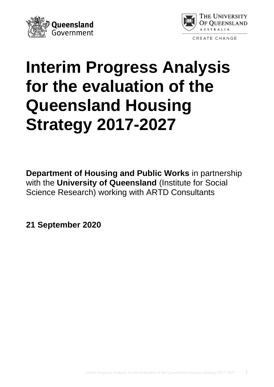



# **Interim Progress Analysis for the evaluation of the Queensland Housing Strategy 2017-2027**

**Department of Housing and Public Works** in partnership with the **University of Queensland** (Institute for Social Science Research) working with ARTD Consultants

**21 September 2020**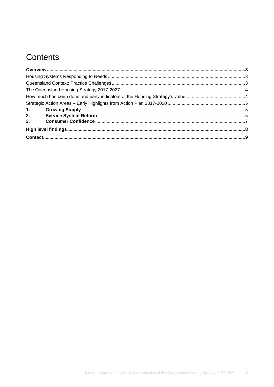# Contents

| 1. |  |
|----|--|
| 2. |  |
| 3. |  |
|    |  |
|    |  |
|    |  |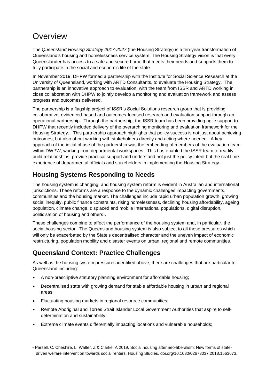## <span id="page-2-0"></span>**Overview**

The *Queensland Housing Strategy 2017-2027* (the Housing Strategy) is a ten-year transformation of Queensland's housing and homelessness service system. The Housing Strategy vision is that every Queenslander has access to a safe and secure home that meets their needs and supports them to fully participate in the social and economic life of the state.

In November 2019, DHPW formed a partnership with the Institute for Social Science Research at the University of Queensland, working with ARTD Consultants, to evaluate the Housing Strategy. The partnership is an innovative approach to evaluation, with the team from ISSR and ARTD working in close collaboration with DHPW to jointly develop a monitoring and evaluation framework and assess progress and outcomes delivered.

The partnership is a flagship project of ISSR's Social Solutions research group that is providing collaborative, evidenced-based and outcomes-focused research and evaluation support through an operational partnership. Through the partnership, the ISSR team has been providing agile support to DHPW that recently included delivery of the overarching monitoring and evaluation framework for the Housing Strategy. This partnership approach highlights that policy success is not just about achieving outcomes, but also about working with stakeholders directly and acting where needed. A key approach of the initial phase of the partnership was the embedding of members of the evaluation team within DWPW, working from departmental workspaces. This has enabled the ISSR team to readily build relationships, provide practical support and understand not just the policy intent but the real time experience of departmental officials and stakeholders in implementing the Housing Strategy.

## <span id="page-2-1"></span>**Housing Systems Responding to Needs**

The housing system is changing, and housing system reform is evident in Australian and international jurisdictions. These reforms are a response to the dynamic challenges impacting governments, communities and the housing market. The challenges include rapid urban population growth, growing social inequity, public finance constraints, rising homelessness, declining housing affordability, ageing population, climate change, displaced and mobile International populations, digital disruption, politicisation of housing and others<sup>1</sup>.

These challenges combine to affect the performance of the housing system and, in particular, the social housing sector. The Queensland housing system is also subject to all these pressures which will only be exacerbated by the State's decentralised character and the uneven impact of economic restructuring, population mobility and disaster events on urban, regional and remote communities.

## <span id="page-2-2"></span>**Queensland Context: Practice Challenges**

As well as the housing system pressures identified above, there are challenges that are particular to Queensland including:

- A non-prescriptive statutory planning environment for affordable housing;
- Decentralised state with growing demand for stable affordable housing in urban and regional areas;
- Fluctuating housing markets in regional resource communities;
- Remote Aboriginal and Torres Strait Islander Local Government Authorities that aspire to selfdetermination and sustainability;
- Extreme climate events differentially impacting locations and vulnerable households;

<sup>1</sup> Parsell, C, Cheshire, L, Walter, Z & Clarke, A 2019, Social housing after neo-liberalism: New forms of statedriven welfare intervention towards social renters. Housing Studies. doi.org/10.1080/02673037.2018.1563673.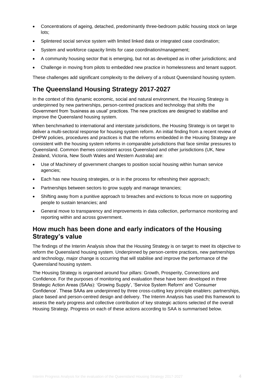- Concentrations of ageing, detached, predominantly three-bedroom public housing stock on large lots;
- Splintered social service system with limited linked data or integrated case coordination;
- System and workforce capacity limits for case coordination/management;
- A community housing sector that is emerging, but not as developed as in other jurisdictions; and
- Challenge in moving from pilots to embedded new practice in homelessness and tenant support.

These challenges add significant complexity to the delivery of a robust Queensland housing system.

#### <span id="page-3-0"></span>**The Queensland Housing Strategy 2017-2027**

In the context of this dynamic economic, social and natural environment, the Housing Strategy is underpinned by new partnerships, person-centred practices and technology that shifts the Government from 'business as usual' practices. The new practices are designed to stabilise and improve the Queensland housing system.

When benchmarked to international and interstate jurisdictions, the Housing Strategy is on target to deliver a multi-sectoral response for housing system reform. An initial finding from a recent review of DHPW policies, procedures and practices is that the reforms embedded in the Housing Strategy are consistent with the housing system reforms in comparable jurisdictions that face similar pressures to Queensland. Common themes consistent across Queensland and other jurisdictions (UK, New Zealand, Victoria, New South Wales and Western Australia) are:

- Use of Machinery of government changes to position social housing within human service agencies;
- Each has new housing strategies, or is in the process for refreshing their approach;
- Partnerships between sectors to grow supply and manage tenancies;
- Shifting away from a punitive approach to breaches and evictions to focus more on supporting people to sustain tenancies; and
- General move to transparency and improvements in data collection, performance monitoring and reporting within and across government.

#### <span id="page-3-1"></span>**How much has been done and early indicators of the Housing Strategy's value**

The findings of the Interim Analysis show that the Housing Strategy is on target to meet its objective to reform the Queensland housing system. Underpinned by person-centre practices, new partnerships and technology, major change is occurring that will stabilise and improve the performance of the Queensland housing system.

The Housing Strategy is organised around four pillars: Growth, Prosperity, Connections and Confidence. For the purposes of monitoring and evaluation these have been developed in three Strategic Action Areas (SAAs): 'Growing Supply', 'Service System Reform' and 'Consumer Confidence'. These SAAs are underpinned by three cross-cutting key principle enablers: partnerships, place based and person-centred design and delivery. The Interim Analysis has used this framework to assess the early progress and collective contribution of key strategic actions selected of the overall Housing Strategy. Progress on each of these actions according to SAA is summarised below.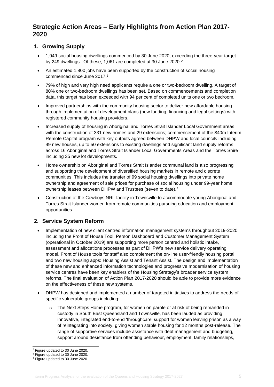### <span id="page-4-0"></span>**Strategic Action Areas – Early Highlights from Action Plan 2017- 2020**

#### <span id="page-4-1"></span>**1. Growing Supply**

- 1,949 social housing dwellings commenced by 30 June 2020, exceeding the three-year target by 249 dwellings. Of these, 1,061 are completed at 30 June 2020.<sup>2</sup>
- An estimated 1,800 jobs have been supported by the construction of social housing commenced since June 2017.<sup>3</sup>
- 79% of high and very high need applicants require a one or two-bedroom dwelling. A target of 80% one or two-bedroom dwellings has been set. Based on commencements and completion data, this target has been exceeded with 94 per cent of completed units one or two bedroom.
- Improved partnerships with the community housing sector to deliver new affordable housing through implementation of development plans (new funding, financing and legal settings) with registered community housing providers.
- Increased supply of housing in Aboriginal and Torres Strait Islander Local Government areas with the construction of 331 new homes and 29 extensions; commencement of the \$40m Interim Remote Capital program with key outputs agreed between DHPW and local councils including 49 new houses, up to 50 extensions to existing dwellings and significant land supply reforms across 16 Aboriginal and Torres Strait Islander Local Governments Areas and the Torres Shire including 35 new lot developments.
- Home ownership on Aboriginal and Torres Strait Islander communal land is also progressing and supporting the development of diversified housing markets in remote and discrete communities. This includes the transfer of 99 social housing dwellings into private home ownership and agreement of sale prices for purchase of social housing under 99-year home ownership leases between DHPW and Trustees (seven to date).<sup>4</sup>
- Construction of the Cowboys NRL facility in Townsville to accommodate young Aboriginal and Torres Strait Islander women from remote communities pursuing education and employment opportunities.

#### <span id="page-4-2"></span>**2. Service System Reform**

- Implementation of new client centred information management systems throughout 2019-2020 including the Front of House Tool, Person Dashboard and Customer Management System (operational in October 2019) are supporting more person centred and holistic intake, assessment and allocations processes as part of DHPW's new service delivery operating model. Front of House tools for staff also complement the on-line user-friendly housing portal and two new housing apps: Housing Assist and Tenant Assist. The design and implementation of these new and enhanced information technologies and progressive modernisation of housing service centres have been key enablers of the Housing Strategy's broader service system reforms. The final evaluation of Action Plan 2017-2020 should be able to provide more evidence on the effectiveness of these new systems.
- DHPW has designed and implemented a number of targeted initiatives to address the needs of specific vulnerable groups including:
	- o The Next Steps Home program, for women on parole or at risk of being remanded in custody in South East Queensland and Townsville, has been lauded as providing innovative, integrated end-to-end 'throughcare' support for women leaving prison as a way of reintegrating into society, giving women stable housing for 12 months post-release. The range of supportive services include assistance with debt management and budgeting, support around desistance from offending behaviour, employment, family relationships,

 $2$  Figure updated to 30 June 2020.

<sup>3</sup> Figure updated to 30 June 2020.

<sup>4</sup> Figure updated to 30 June 2020.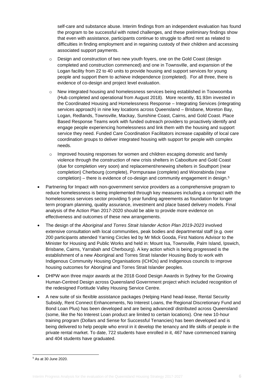self-care and substance abuse. Interim findings from an independent evaluation has found the program to be successful with noted challenges, and these preliminary findings show that even with assistance, participants continue to struggle to afford rent as related to difficulties in finding employment and in regaining custody of their children and accessing associated support payments.

- $\circ$  Design and construction of two new youth foyers, one on the Gold Coast (design completed and construction commenced) and one in Townsville, and expansion of the Logan facility from 22 to 40 units to provide housing and support services for young people and support them to achieve independence (completed). For all three, there is evidence of co-design and project level evaluation.
- o New integrated housing and homelessness services being established in Toowoomba (Hub completed and operational from August 2018). More recently, \$1.93m invested in the Coordinated Housing and Homelessness Response – Integrating Services (integrating services approach) in nine key locations across Queensland – Brisbane, Moreton Bay, Logan, Redlands, Townsville, Mackay, Sunshine Coast, Cairns, and Gold Coast. Place Based Response Teams work with funded outreach providers to proactively identify and engage people experiencing homelessness and link them with the housing and support service they need. Funded Care Coordination Facilitators increase capability of local care coordination groups to deliver integrated housing with support for people with complex needs.
- $\circ$  Improved housing responses for women and children escaping domestic and family violence through the construction of new crisis shelters in Caboolture and Gold Coast (due for completion very soon) and replacement/renewing shelters in Southport (near completion) Cherbourg (complete), Pormpuraaw (complete) and Woorabinda (near completion) – there is evidence of co-design and community engagement in design.<sup>5</sup>
- Partnering for Impact with non-government service providers as a comprehensive program to reduce homelessness is being implemented through key measures including a compact with the homelessness services sector providing 5 year funding agreements as foundation for longer term program planning, quality assurance, investment and place based delivery models. Final analysis of the Action Plan 2017-2020 should be able to provide more evidence on effectiveness and outcomes of these new arrangements.
- The design of the *Aboriginal and Torres Strait Islander Action Plan 2019-2023* involved extensive consultation with local communities, peak bodies and departmental staff (e.g. over 200 participants attended Yarning Circles led by Mr Mick Gooda, First Nations Advisor to the Minister for Housing and Public Works and held in: Mount Isa, Townsville, Palm Island, Ipswich, Brisbane, Cairns, Yarrabah and Cherbourg). A key action which is being progressed is the establishment of a new Aboriginal and Torres Strait Islander Housing Body to work with Indigenous Community Housing Organisations (ICHOs) and Indigenous councils to improve housing outcomes for Aboriginal and Torres Strait Islander peoples.
- DHPW won three major awards at the 2018 Good Design Awards in Sydney for the Growing Human-Centred Design across Queensland Government project which included recognition of the redesigned Fortitude Valley Housing Service Centre.
- A new suite of six flexible assistance packages (Helping Hand head-lease, Rental Security Subsidy, Rent Connect Enhancements, No Interest Loans, the Regional Discretionary Fund and Bond Loan Plus) has been developed and are being advanced/ distributed across Queensland (some, like the No Interest Loan product are limited to certain locations). One new 10-hour training program (Dollars and Sense for Successful Tenancies) has been developed and is being delivered to help people who enrol in it develop the tenancy and life skills of people in the private rental market. To date, 722 students have enrolled in it, 467 have commenced training and 404 students have graduated.

<sup>5</sup> As at 30 June 2020.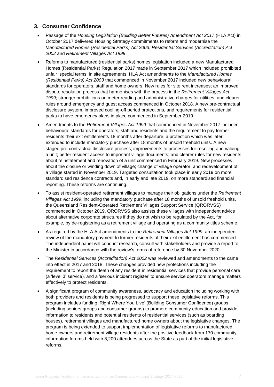#### <span id="page-6-0"></span>**3. Consumer Confidence**

- Passage of the *Housing Legislation (Building Better Futures) Amendment Act 2017* (HLA Act) in October 2017 delivered Housing Strategy commitments to reform and modernise the *Manufactured Homes (Residential Parks) Act 2003*, *Residential Services (Accreditation) Act 2002* and *Retirement Villages Act 1999*.
- Reforms to manufactured (residential parks) homes legislation included a new Manufactured Homes (Residential Parks) Regulation 2017 made in September 2017 which included prohibited unfair 'special terms' in site agreements. HLA Act amendments to the *Manufactured Homes (Residential Parks) Act 2003* that commenced in November 2017 included new behavioural standards for operators, staff and home owners. New rules for site rent increases; an improved dispute resolution process that harmonises with the process in the *Retirement Villages Act 1999*; stronger prohibitions on meter reading and administrative charges for utilities, and clearer rules around emergency and guest access commenced in October 2018. A new pre-contractual disclosure system, improved cooling-off period protections, and requirements for residential parks to have emergency plans in place commenced in September 2019.
- Amendments to the *Retirement Villages Act 1999* that commenced in November 2017 included behavioural standards for operators, staff and residents and the requirement to pay former residents their exit entitlements 18 months after departure, a protection which was later extended to include mandatory purchase after 18 months of unsold freehold units. A new staged pre-contractual disclosure process; improvements to processes for reselling and valuing a unit; better resident access to important village documents; and clearer rules for new residents about reinstatement and renovation of a unit commenced in February 2019. New processes about the closure or winding down of village; change of village operator; and redevelopment of a village started in November 2019. Targeted consultation took place in early 2019 on more standardised residence contracts and, in early and late 2019, on more standardised financial reporting. These reforms are continuing.
- To assist resident-operated retirement villages to manage their obligations under the *Retirement Villages Act 1999*, including the mandatory purchase after 18 months of unsold freehold units, the Queensland Resident-Operated Retirement Villages Support Service (QRORVSS) commenced in October 2019. QRORVSS also assists these villages with independent advice about alternative corporate structures if they do not wish to be regulated by the Act, for example, by de-registering as a retirement village and operating as a community titles scheme.
- As required by the HLA Act amendments to the *Retirement Villages Act 1999*, an independent review of the mandatory payment to former residents of their exit entitlement has commenced. The independent panel will conduct research, consult with stakeholders and provide a report to the Minister in accordance with the review's terms of reference by 30 November 2020.
- The *Residential Services (Accreditation) Act 2002* was reviewed and amendments to the came into effect in 2017 and 2018. These changes provided new protections including the requirement to report the death of any resident in residential services that provide personal care (a 'level 3' service), and a 'serious incident register' to ensure service operators manage matters effectively to protect residents.
- A significant program of community awareness, advocacy and education including working with both providers and residents is being progressed to support these legislative reforms. This program includes funding 'Right Where You Live' (Building Consumer Confidence) groups (including seniors groups and consumer groups) to promote community education and provide information to residents and potential residents of residential services (such as boarding houses), retirement villages and manufactured home owners about the legislative changes. The program is being extended to support implementation of legislative reforms to manufactured home-owners and retirement village residents after the positive feedback from 170 community information forums held with 8,200 attendees across the State as part of the initial legislative reforms.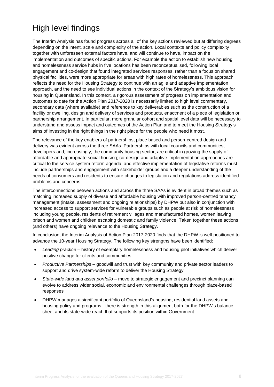# <span id="page-7-0"></span>High level findings

The Interim Analysis has found progress across all of the key actions reviewed but at differing degrees depending on the intent, scale and complexity of the action. Local contexts and policy complexity together with unforeseen external factors have, and will continue to have, impact on the implementation and outcomes of specific actions. For example the action to establish new housing and homelessness service hubs in five locations has been reconceptualised, following local engagement and co-design that found integrated services responses, rather than a focus on shared physical facilities, were more appropriate for areas with high rates of homelessness. This approach reflects the need for the Housing Strategy to continue with an agile and adaptive implementation approach, and the need to see individual actions in the context of the Strategy's ambitious vision for housing in Queensland. In this context, a rigorous assessment of progress on implementation and outcomes to date for the Action Plan 2017-2020 is necessarily limited to high level commentary, secondary data (where available) and reference to key deliverables such as the construction of a facility or dwelling, design and delivery of services and products, enactment of a piece of legislation or partnership arrangement. In particular, more granular cohort and spatial level data will be necessary to understand and assess impact and outcomes of the Action Plan and to meet the Housing Strategy's aims of investing in the right things in the right place for the people who need it most.

The relevance of the key enablers of partnerships, place based and person-centred design and delivery was evident across the three SAAs. Partnerships with local councils and communities, developers and, increasingly, the community housing sector, are critical in growing the supply of affordable and appropriate social housing; co-design and adaptive implementation approaches are critical to the service system reform agenda; and effective implementation of legislative reforms must include partnerships and engagement with stakeholder groups and a deeper understanding of the needs of consumers and residents to ensure changes to legislation and regulations address identified problems and concerns.

The interconnections between actions and across the three SAAs is evident in broad themes such as matching increased supply of diverse and affordable housing with improved person-centred tenancy management (intake, assessment and ongoing relationships) by DHPW but also in conjunction with increased access to support services for vulnerable groups such as people at risk of homelessness including young people, residents of retirement villages and manufactured homes, women leaving prison and women and children escaping domestic and family violence. Taken together these actions (and others) have ongoing relevance to the Housing Strategy.

In conclusion, the Interim Analysis of Action Plan 2017-2020 finds that the DHPW is well-positioned to advance the 10-year Housing Strategy. The following key strengths have been identified:

- *Leading practice* history of exemplary homelessness and housing pilot initiatives which deliver positive change for clients and communities
- *Productive Partnerships* goodwill and trust with key community and private sector leaders to support and drive system-wide reform to deliver the Housing Strategy
- *State-wide land and asset portfolio* move to strategic engagement and precinct planning can evolve to address wider social, economic and environmental challenges through place-based responses
- DHPW manages a significant portfolio of Queensland's housing, residential land assets and housing policy and programs - there is strength in this alignment both for the DHPW's balance sheet and its state-wide reach that supports its position within Government.